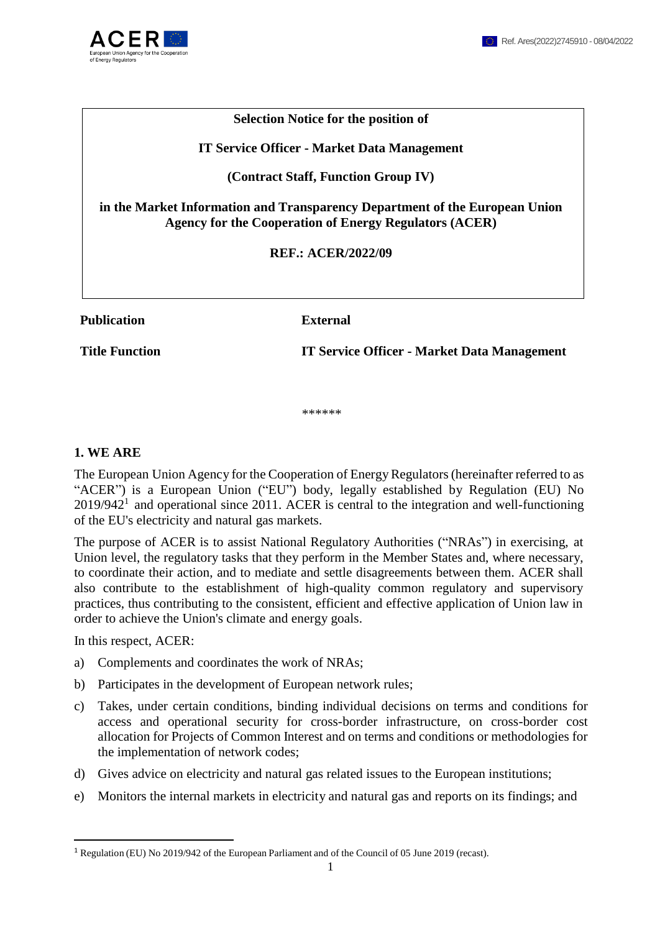

#### **Selection Notice for the position of**

#### **IT Service Officer - Market Data Management**

**(Contract Staff, Function Group IV)**

**in the Market Information and Transparency Department of the European Union Agency for the Cooperation of Energy Regulators (ACER)**

#### **REF.: ACER/2022/09**

**Publication External**

**Title Function IT Service Officer - Market Data Management**

\*\*\*\*\*\*\*\*

#### **1. WE ARE**

The European Union Agency for the Cooperation of Energy Regulators (hereinafter referred to as "ACER") is a European Union ("EU") body, legally established by Regulation (EU) No  $2019/942<sup>1</sup>$  and operational since 2011. ACER is central to the integration and well-functioning of the EU's electricity and natural gas markets.

The purpose of ACER is to assist National Regulatory Authorities ("NRAs") in exercising, at Union level, the regulatory tasks that they perform in the Member States and, where necessary, to coordinate their action, and to mediate and settle disagreements between them. ACER shall also contribute to the establishment of high-quality common regulatory and supervisory practices, thus contributing to the consistent, efficient and effective application of Union law in order to achieve the Union's climate and energy goals.

In this respect, ACER:

 $\overline{a}$ 

- a) Complements and coordinates the work of NRAs;
- b) Participates in the development of European network rules;
- c) Takes, under certain conditions, binding individual decisions on terms and conditions for access and operational security for cross-border infrastructure, on cross-border cost allocation for Projects of Common Interest and on terms and conditions or methodologies for the implementation of network codes;
- d) Gives advice on electricity and natural gas related issues to the European institutions;
- e) Monitors the internal markets in electricity and natural gas and reports on its findings; and

<sup>1</sup> Regulation (EU) No 2019/942 of the European Parliament and of the Council of 05 June 2019 (recast).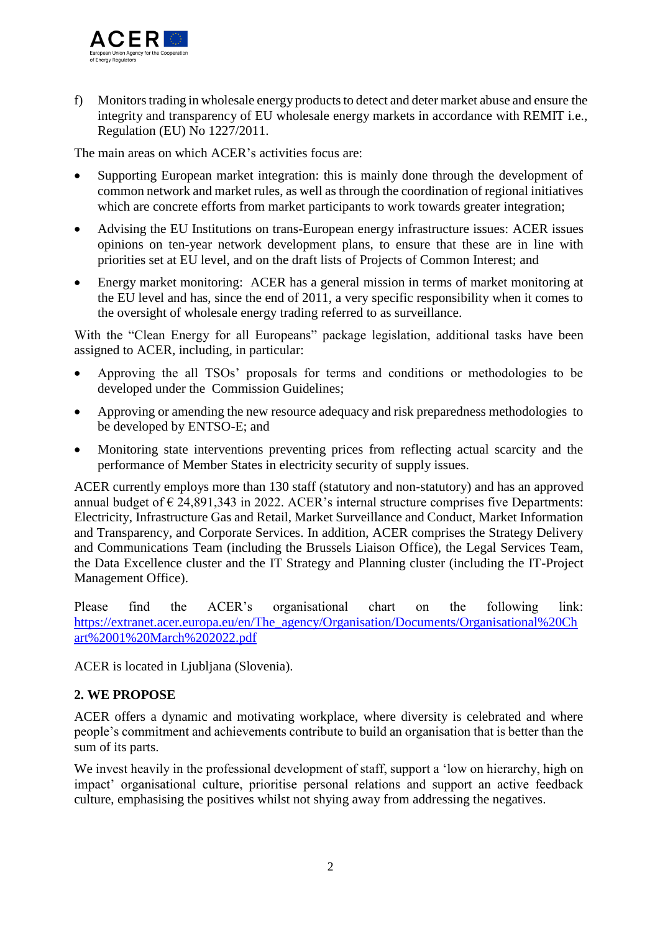

f) Monitors trading in wholesale energy products to detect and deter market abuse and ensure the integrity and transparency of EU wholesale energy markets in accordance with REMIT i.e., Regulation (EU) No 1227/2011.

The main areas on which ACER's activities focus are:

- Supporting European market integration: this is mainly done through the development of common network and market rules, as well as through the coordination of regional initiatives which are concrete efforts from market participants to work towards greater integration;
- Advising the EU Institutions on trans-European energy infrastructure issues: ACER issues opinions on ten-year network development plans, to ensure that these are in line with priorities set at EU level, and on the draft lists of Projects of Common Interest; and
- Energy market monitoring: ACER has a general mission in terms of market monitoring at the EU level and has, since the end of 2011, a very specific responsibility when it comes to the oversight of wholesale energy trading referred to as surveillance.

With the "Clean Energy for all Europeans" package legislation, additional tasks have been assigned to ACER, including, in particular:

- Approving the all TSOs' proposals for terms and conditions or methodologies to be developed under the Commission Guidelines;
- Approving or amending the new resource adequacy and risk preparedness methodologies to be developed by ENTSO-E; and
- Monitoring state interventions preventing prices from reflecting actual scarcity and the performance of Member States in electricity security of supply issues.

ACER currently employs more than 130 staff (statutory and non-statutory) and has an approved annual budget of  $\epsilon$  24,891,343 in 2022. ACER's internal structure comprises five Departments: Electricity, Infrastructure Gas and Retail, Market Surveillance and Conduct, Market Information and Transparency, and Corporate Services. In addition, ACER comprises the Strategy Delivery and Communications Team (including the Brussels Liaison Office), the Legal Services Team, the Data Excellence cluster and the IT Strategy and Planning cluster (including the IT-Project Management Office).

Please find the ACER's organisational chart on the following link: [https://extranet.acer.europa.eu/en/The\\_agency/Organisation/Documents/Organisational%20Ch](https://extranet.acer.europa.eu/en/The_agency/Organisation/Documents/Organisational%20Chart%2001%20March%202022.pdf) [art%2001%20March%202022.pdf](https://extranet.acer.europa.eu/en/The_agency/Organisation/Documents/Organisational%20Chart%2001%20March%202022.pdf)

ACER is located in Ljubljana (Slovenia).

## **2. WE PROPOSE**

ACER offers a dynamic and motivating workplace, where diversity is celebrated and where people's commitment and achievements contribute to build an organisation that is better than the sum of its parts.

We invest heavily in the professional development of staff, support a 'low on hierarchy, high on impact' organisational culture, prioritise personal relations and support an active feedback culture, emphasising the positives whilst not shying away from addressing the negatives.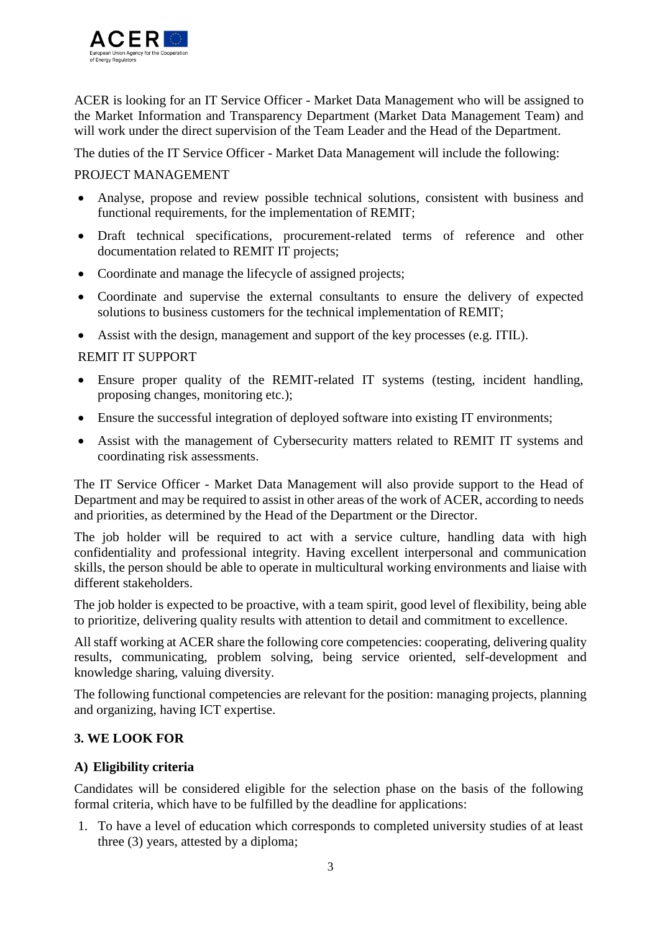

ACER is looking for an IT Service Officer - Market Data Management who will be assigned to the Market Information and Transparency Department (Market Data Management Team) and will work under the direct supervision of the Team Leader and the Head of the Department.

The duties of the IT Service Officer - Market Data Management will include the following:

## PROJECT MANAGEMENT

- Analyse, propose and review possible technical solutions, consistent with business and functional requirements, for the implementation of REMIT;
- Draft technical specifications, procurement-related terms of reference and other documentation related to REMIT IT projects;
- Coordinate and manage the lifecycle of assigned projects;
- Coordinate and supervise the external consultants to ensure the delivery of expected solutions to business customers for the technical implementation of REMIT;
- Assist with the design, management and support of the key processes (e.g. ITIL).

#### REMIT IT SUPPORT

- Ensure proper quality of the REMIT-related IT systems (testing, incident handling, proposing changes, monitoring etc.);
- Ensure the successful integration of deployed software into existing IT environments;
- Assist with the management of Cybersecurity matters related to REMIT IT systems and coordinating risk assessments.

The IT Service Officer - Market Data Management will also provide support to the Head of Department and may be required to assist in other areas of the work of ACER, according to needs and priorities, as determined by the Head of the Department or the Director.

The job holder will be required to act with a service culture, handling data with high confidentiality and professional integrity. Having excellent interpersonal and communication skills, the person should be able to operate in multicultural working environments and liaise with different stakeholders.

The job holder is expected to be proactive, with a team spirit, good level of flexibility, being able to prioritize, delivering quality results with attention to detail and commitment to excellence.

All staff working at ACER share the following core competencies: cooperating, delivering quality results, communicating, problem solving, being service oriented, self-development and knowledge sharing, valuing diversity.

The following functional competencies are relevant for the position: managing projects, planning and organizing, having ICT expertise.

## **3. WE LOOK FOR**

#### **A) Eligibility criteria**

Candidates will be considered eligible for the selection phase on the basis of the following formal criteria, which have to be fulfilled by the deadline for applications:

1. To have a level of education which corresponds to completed university studies of at least three (3) years, attested by a diploma;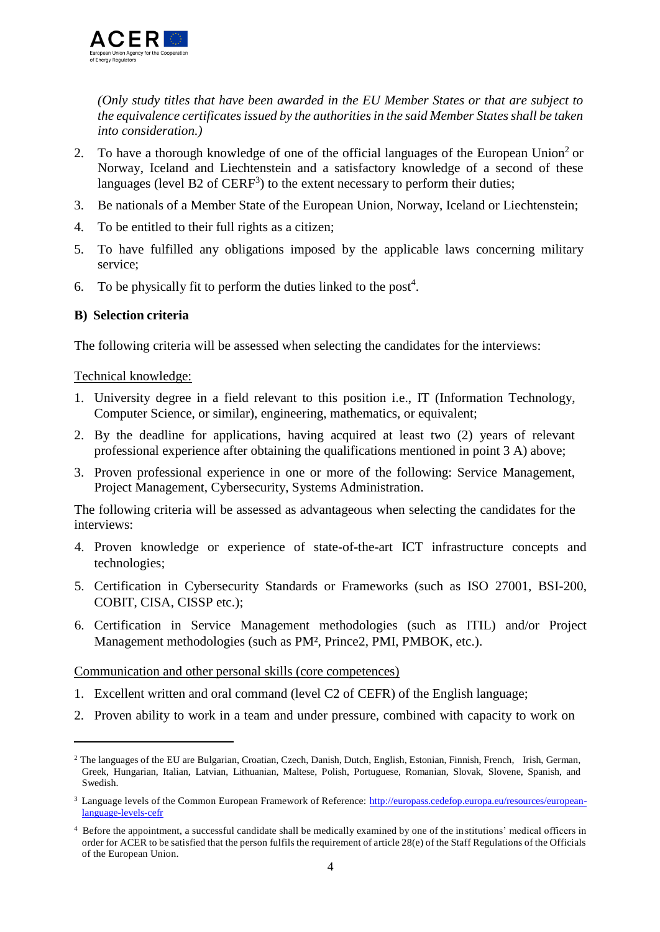

*(Only study titles that have been awarded in the EU Member States or that are subject to the equivalence certificates issued by the authorities in the said Member States shall be taken into consideration.)*

- 2. To have a thorough knowledge of one of the official languages of the European Union<sup>2</sup> or Norway, Iceland and Liechtenstein and a satisfactory knowledge of a second of these languages (level B2 of  $CERF<sup>3</sup>$ ) to the extent necessary to perform their duties;
- 3. Be nationals of a Member State of the European Union, Norway, Iceland or Liechtenstein;
- 4. To be entitled to their full rights as a citizen;
- 5. To have fulfilled any obligations imposed by the applicable laws concerning military service;
- 6. To be physically fit to perform the duties linked to the post<sup>4</sup>.

#### **B) Selection criteria**

The following criteria will be assessed when selecting the candidates for the interviews:

Technical knowledge:

 $\overline{a}$ 

- 1. University degree in a field relevant to this position i.e., IT (Information Technology, Computer Science, or similar), engineering, mathematics, or equivalent;
- 2. By the deadline for applications, having acquired at least two (2) years of relevant professional experience after obtaining the qualifications mentioned in point 3 A) above;
- 3. Proven professional experience in one or more of the following: Service Management, Project Management, Cybersecurity, Systems Administration.

The following criteria will be assessed as advantageous when selecting the candidates for the interviews:

- 4. Proven knowledge or experience of state-of-the-art ICT infrastructure concepts and technologies;
- 5. Certification in Cybersecurity Standards or Frameworks (such as ISO 27001, BSI-200, COBIT, CISA, CISSP etc.);
- 6. Certification in Service Management methodologies (such as ITIL) and/or Project Management methodologies (such as PM², Prince2, PMI, PMBOK, etc.).

Communication and other personal skills (core competences)

- 1. Excellent written and oral command (level C2 of CEFR) of the English language;
- 2. Proven ability to work in a team and under pressure, combined with capacity to work on

<sup>&</sup>lt;sup>2</sup> The languages of the EU are Bulgarian, Croatian, Czech, Danish, Dutch, English, Estonian, Finnish, French, Irish, German, Greek, Hungarian, Italian, Latvian, Lithuanian, Maltese, Polish, Portuguese, Romanian, Slovak, Slovene, Spanish, and Swedish.

<sup>&</sup>lt;sup>3</sup> Language levels of the Common European Framework of Reference: [http://europass.cedefop.europa.eu/resources/european](http://europass.cedefop.europa.eu/resources/european-language-levels-cefr)[language-levels-cefr](http://europass.cedefop.europa.eu/resources/european-language-levels-cefr)

<sup>4</sup> Before the appointment, a successful candidate shall be medically examined by one of the in stitutions' medical officers in order for ACER to be satisfied that the person fulfils the requirement of article 28(e) of the Staff Regulations of the Officials of the European Union.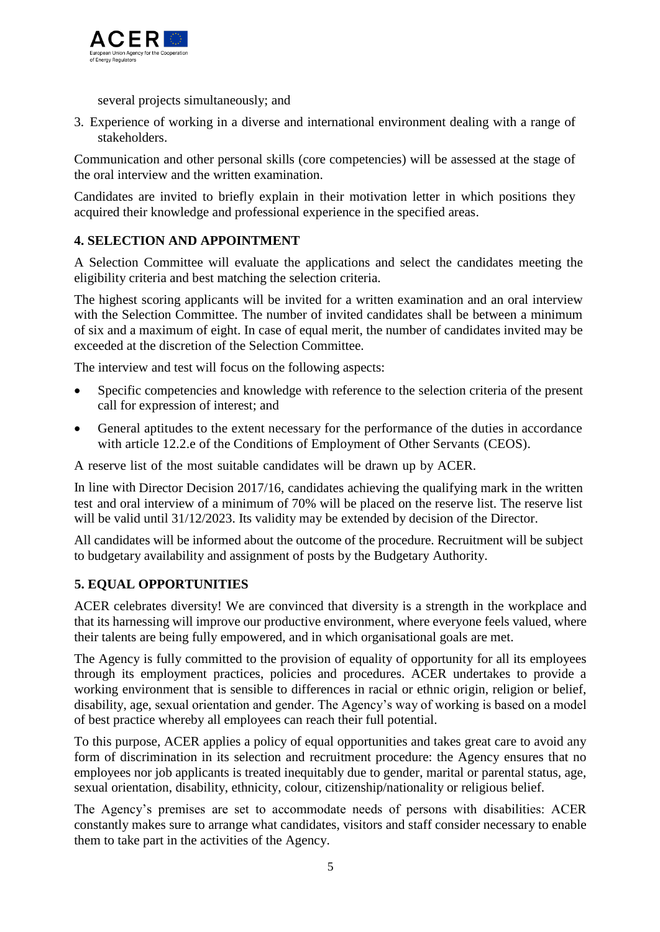

several projects simultaneously; and

3. Experience of working in a diverse and international environment dealing with a range of stakeholders.

Communication and other personal skills (core competencies) will be assessed at the stage of the oral interview and the written examination.

Candidates are invited to briefly explain in their motivation letter in which positions they acquired their knowledge and professional experience in the specified areas.

# **4. SELECTION AND APPOINTMENT**

A Selection Committee will evaluate the applications and select the candidates meeting the eligibility criteria and best matching the selection criteria.

The highest scoring applicants will be invited for a written examination and an oral interview with the Selection Committee. The number of invited candidates shall be between a minimum of six and a maximum of eight. In case of equal merit, the number of candidates invited may be exceeded at the discretion of the Selection Committee.

The interview and test will focus on the following aspects:

- Specific competencies and knowledge with reference to the selection criteria of the present call for expression of interest; and
- General aptitudes to the extent necessary for the performance of the duties in accordance with article 12.2.e of the Conditions of Employment of Other Servants (CEOS).

A reserve list of the most suitable candidates will be drawn up by ACER.

In line with Director Decision 2017/16, candidates achieving the qualifying mark in the written test and oral interview of a minimum of 70% will be placed on the reserve list. The reserve list will be valid until 31/12/2023. Its validity may be extended by decision of the Director.

All candidates will be informed about the outcome of the procedure. Recruitment will be subject to budgetary availability and assignment of posts by the Budgetary Authority.

## **5. EQUAL OPPORTUNITIES**

ACER celebrates diversity! We are convinced that diversity is a strength in the workplace and that its harnessing will improve our productive environment, where everyone feels valued, where their talents are being fully empowered, and in which organisational goals are met.

The Agency is fully committed to the provision of equality of opportunity for all its employees through its employment practices, policies and procedures. ACER undertakes to provide a working environment that is sensible to differences in racial or ethnic origin, religion or belief, disability, age, sexual orientation and gender. The Agency's way of working is based on a model of best practice whereby all employees can reach their full potential.

To this purpose, ACER applies a policy of equal opportunities and takes great care to avoid any form of discrimination in its selection and recruitment procedure: the Agency ensures that no employees nor job applicants is treated inequitably due to gender, marital or parental status, age, sexual orientation, disability, ethnicity, colour, citizenship/nationality or religious belief.

The Agency's premises are set to accommodate needs of persons with disabilities: ACER constantly makes sure to arrange what candidates, visitors and staff consider necessary to enable them to take part in the activities of the Agency.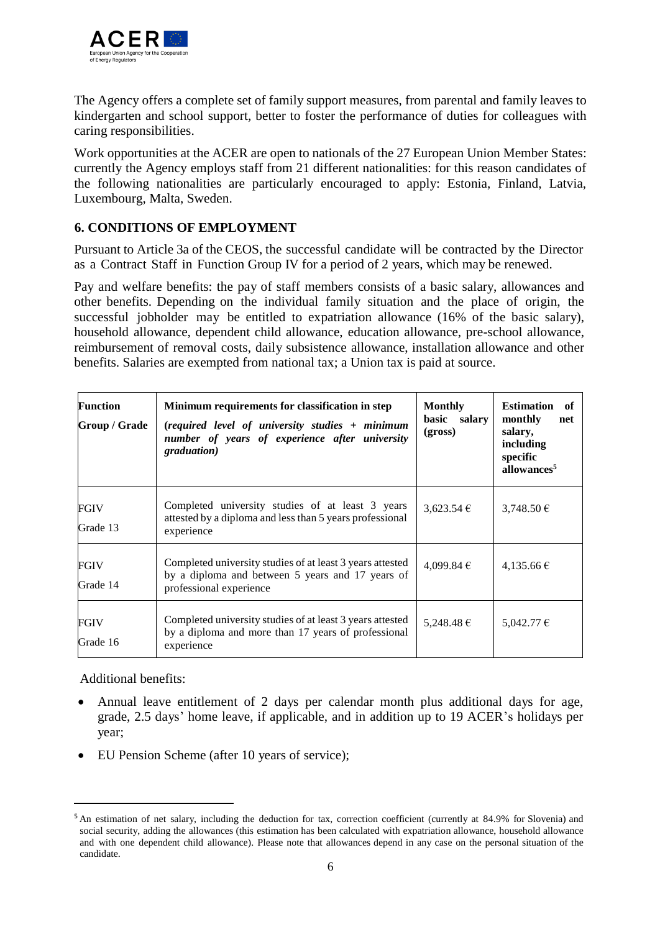

The Agency offers a complete set of family support measures, from parental and family leaves to kindergarten and school support, better to foster the performance of duties for colleagues with caring responsibilities.

Work opportunities at the ACER are open to nationals of the 27 European Union Member States: currently the Agency employs staff from 21 different nationalities: for this reason candidates of the following nationalities are particularly encouraged to apply: Estonia, Finland, Latvia, Luxembourg, Malta, Sweden.

# **6. CONDITIONS OF EMPLOYMENT**

Pursuant to Article 3a of the CEOS, the successful candidate will be contracted by the Director as a Contract Staff in Function Group IV for a period of 2 years, which may be renewed.

Pay and welfare benefits: the pay of staff members consists of a basic salary, allowances and other benefits. Depending on the individual family situation and the place of origin, the successful jobholder may be entitled to expatriation allowance (16% of the basic salary), household allowance, dependent child allowance, education allowance, pre-school allowance, reimbursement of removal costs, daily subsistence allowance, installation allowance and other benefits. Salaries are exempted from national tax; a Union tax is paid at source.

| <b>Function</b><br>Group / Grade | Minimum requirements for classification in step<br>$(required$ level of university studies $+$ minimum<br>number of years of experience after university<br><i>graduation</i> ) | <b>Monthly</b><br>basic<br>salary<br>(gross) | <b>Estimation</b><br>- of<br>monthly<br>net<br>salary,<br>including<br>specific<br>allowances <sup>5</sup> |
|----------------------------------|---------------------------------------------------------------------------------------------------------------------------------------------------------------------------------|----------------------------------------------|------------------------------------------------------------------------------------------------------------|
| FGIV<br>Grade 13                 | Completed university studies of at least 3 years<br>attested by a diploma and less than 5 years professional<br>experience                                                      | $3,623.54 \in$                               | 3,748.50 €                                                                                                 |
| FGIV<br>Grade 14                 | Completed university studies of at least 3 years attested<br>by a diploma and between 5 years and 17 years of<br>professional experience                                        | 4,099.84 €                                   | 4,135.66 €                                                                                                 |
| FGIV<br>Grade 16                 | Completed university studies of at least 3 years attested<br>by a diploma and more than 17 years of professional<br>experience                                                  | 5,248.48 €                                   | 5,042.77 €                                                                                                 |

Additional benefits:

 $\overline{a}$ 

- Annual leave entitlement of 2 days per calendar month plus additional days for age, grade, 2.5 days' home leave, if applicable, and in addition up to 19 ACER's holidays per year;
- EU Pension Scheme (after 10 years of service);

<sup>&</sup>lt;sup>5</sup> An estimation of net salary, including the deduction for tax, correction coefficient (currently at 84.9% for Slovenia) and social security, adding the allowances (this estimation has been calculated with expatriation allowance, household allowance and with one dependent child allowance). Please note that allowances depend in any case on the personal situation of the candidate.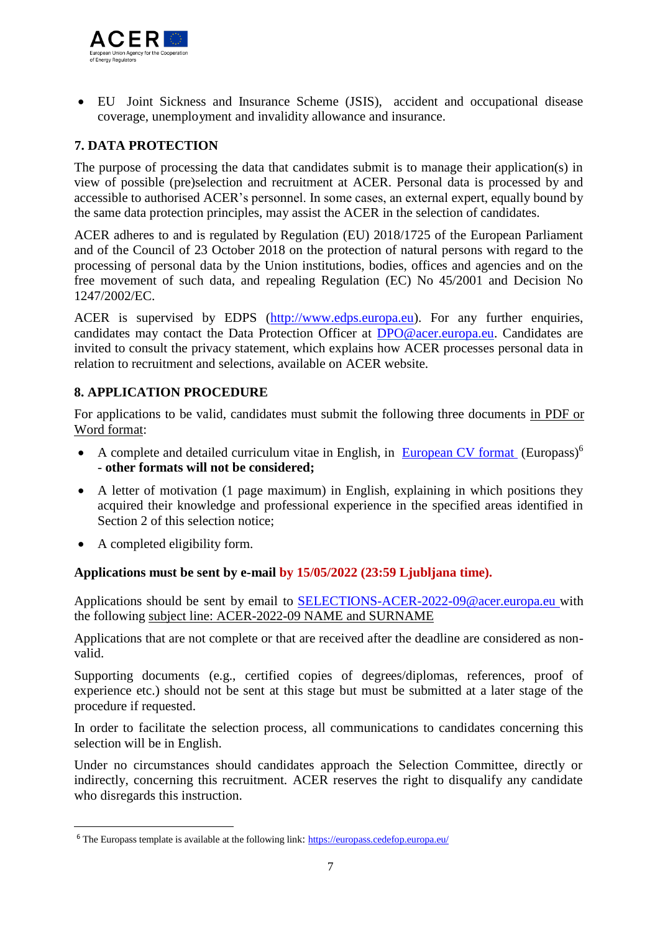

 EU Joint Sickness and Insurance Scheme (JSIS), accident and occupational disease coverage, unemployment and invalidity allowance and insurance.

# **7. DATA PROTECTION**

The purpose of processing the data that candidates submit is to manage their application(s) in view of possible (pre)selection and recruitment at ACER. Personal data is processed by and accessible to authorised ACER's personnel. In some cases, an external expert, equally bound by the same data protection principles, may assist the ACER in the selection of candidates.

ACER adheres to and is regulated by Regulation (EU) 2018/1725 of the European Parliament and of the Council of 23 October 2018 on the protection of natural persons with regard to the processing of personal data by the Union institutions, bodies, offices and agencies and on the free movement of such data, and repealing Regulation (EC) No 45/2001 and Decision No 1247/2002/EC.

ACER is supervised by EDPS [\(http://www.edps.europa.eu\)](http://www.edps.europa.eu/). For any further enquiries, candidates may contact the Data Protection Officer at [DPO@acer.europa.eu.](mailto:DPO@acer.europa.eu) Candidates are invited to consult the privacy statement, which explains how ACER processes personal data in relation to recruitment and selections, available on ACER website.

## **8. APPLICATION PROCEDURE**

For applications to be valid, candidates must submit the following three documents in PDF or Word format:

- A complete and detailed curriculum vitae in English, in [European CV format](http://europass.cedefop.europa.eu/en/documents/curriculum-vitae/templates-instructions) (Europass)<sup>6</sup> - **other formats will not be considered;**
- A letter of motivation (1 page maximum) in English, explaining in which positions they acquired their knowledge and professional experience in the specified areas identified in Section 2 of this selection notice;
- A completed eligibility form.

 $\overline{\phantom{a}}$ 

## **Applications must be sent by e-mail by 15/05/2022 (23:59 Ljubljana time).**

Applications should be sent by email to [SELECTIONS-ACER-2022-09@acer.europa.eu w](mailto:SELECTIONS-ACER-2022-09@acer.europa.eu)ith the following subject line: ACER-2022-09 NAME and SURNAME

Applications that are not complete or that are received after the deadline are considered as nonvalid.

Supporting documents (e.g., certified copies of degrees/diplomas, references, proof of experience etc.) should not be sent at this stage but must be submitted at a later stage of the procedure if requested.

In order to facilitate the selection process, all communications to candidates concerning this selection will be in English.

Under no circumstances should candidates approach the Selection Committee, directly or indirectly, concerning this recruitment. ACER reserves the right to disqualify any candidate who disregards this instruction.

<sup>&</sup>lt;sup>6</sup> The Europass template is available at the following link: <https://europass.cedefop.europa.eu/>